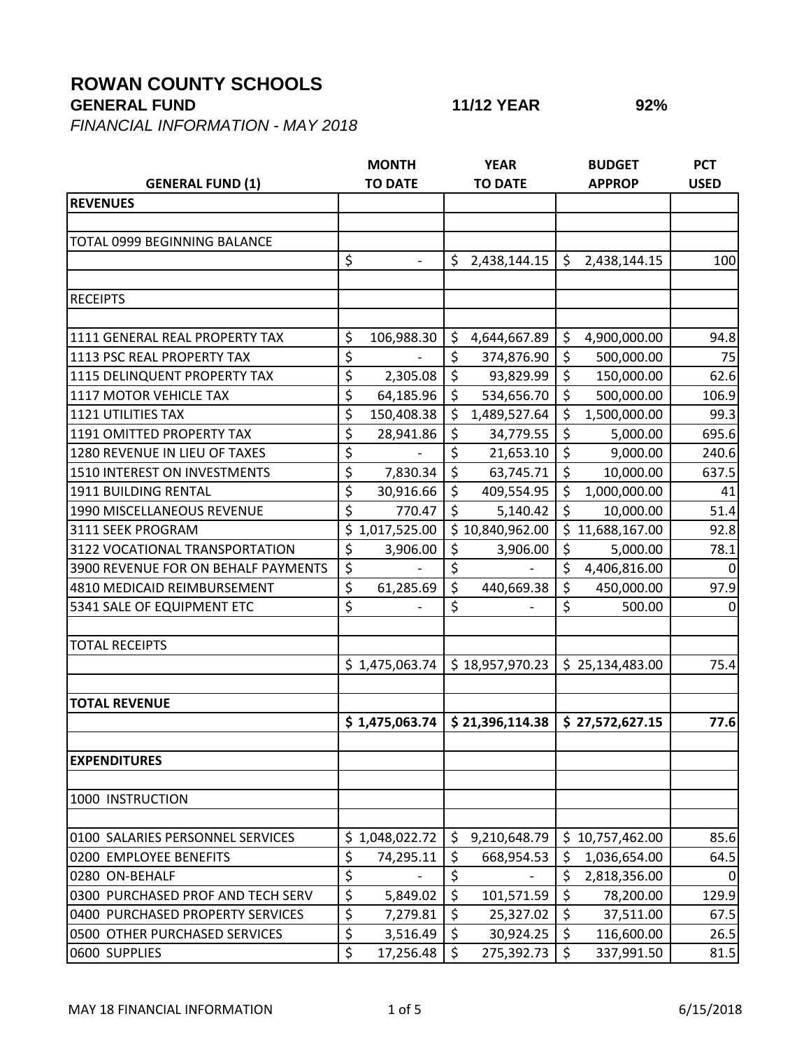## **ROWAN COUNTY SCHOOLS**

## **GENERAL FUND 11/12 YEAR 92%**

*FINANCIAL INFORMATION - MAY 2018*

|                                     | <b>MONTH</b> |                          | <b>YEAR</b> |                 | <b>BUDGET</b> |                 | <b>PCT</b>  |
|-------------------------------------|--------------|--------------------------|-------------|-----------------|---------------|-----------------|-------------|
| <b>GENERAL FUND (1)</b>             |              | <b>TO DATE</b>           |             | <b>TO DATE</b>  |               | <b>APPROP</b>   | <b>USED</b> |
| <b>REVENUES</b>                     |              |                          |             |                 |               |                 |             |
|                                     |              |                          |             |                 |               |                 |             |
| TOTAL 0999 BEGINNING BALANCE        |              |                          |             |                 |               |                 |             |
|                                     | \$           | $\overline{\phantom{0}}$ | \$          | 2,438,144.15    | \$            | 2,438,144.15    | 100         |
|                                     |              |                          |             |                 |               |                 |             |
| <b>RECEIPTS</b>                     |              |                          |             |                 |               |                 |             |
|                                     |              |                          |             |                 |               |                 |             |
| 1111 GENERAL REAL PROPERTY TAX      | \$           | 106,988.30               | \$          | 4,644,667.89    | \$            | 4,900,000.00    | 94.8        |
| 1113 PSC REAL PROPERTY TAX          | \$           |                          | \$          | 374,876.90      | \$            | 500,000.00      | 75          |
| 1115 DELINQUENT PROPERTY TAX        | \$           | 2,305.08                 | \$          | 93,829.99       | \$            | 150,000.00      | 62.6        |
| 1117 MOTOR VEHICLE TAX              | \$           | 64,185.96                | \$          | 534,656.70      | \$            | 500,000.00      | 106.9       |
| <b>1121 UTILITIES TAX</b>           | \$           | 150,408.38               | \$          | 1,489,527.64    | \$            | 1,500,000.00    | 99.3        |
| 1191 OMITTED PROPERTY TAX           | \$           | 28,941.86                | \$          | 34,779.55       | \$            | 5,000.00        | 695.6       |
| 1280 REVENUE IN LIEU OF TAXES       | \$           |                          | \$          | 21,653.10       | \$            | 9,000.00        | 240.6       |
| 1510 INTEREST ON INVESTMENTS        | \$           | 7,830.34                 | \$          | 63,745.71       | \$            | 10,000.00       | 637.5       |
| 1911 BUILDING RENTAL                | \$           | 30,916.66                | \$          | 409,554.95      | \$            | 1,000,000.00    | 41          |
| 1990 MISCELLANEOUS REVENUE          | \$           | 770.47                   | $\zeta$     | 5,140.42        | \$            | 10,000.00       | 51.4        |
| 3111 SEEK PROGRAM                   | \$           | 1,017,525.00             |             | \$10,840,962.00 | \$            | 11,688,167.00   | 92.8        |
| 3122 VOCATIONAL TRANSPORTATION      | \$           | 3,906.00                 | \$          | 3,906.00        | \$            | 5,000.00        | 78.1        |
| 3900 REVENUE FOR ON BEHALF PAYMENTS | \$           |                          | \$          |                 | \$            | 4,406,816.00    | 0           |
| 4810 MEDICAID REIMBURSEMENT         | \$           | 61,285.69                | \$          | 440,669.38      | \$            | 450,000.00      | 97.9        |
| 5341 SALE OF EQUIPMENT ETC          | \$           |                          | \$          |                 | \$            | 500.00          | $\Omega$    |
|                                     |              |                          |             |                 |               |                 |             |
| <b>TOTAL RECEIPTS</b>               |              |                          |             |                 |               |                 |             |
|                                     |              | \$1,475,063.74           |             | \$18,957,970.23 |               | \$25,134,483.00 | 75.4        |
|                                     |              |                          |             |                 |               |                 |             |
| <b>TOTAL REVENUE</b>                |              |                          |             |                 |               |                 |             |
|                                     |              | \$1,475,063.74           |             | \$21,396,114.38 |               | \$27,572,627.15 | 77.6        |
|                                     |              |                          |             |                 |               |                 |             |
| <b>EXPENDITURES</b>                 |              |                          |             |                 |               |                 |             |
|                                     |              |                          |             |                 |               |                 |             |
| 1000 INSTRUCTION                    |              |                          |             |                 |               |                 |             |
|                                     |              |                          |             |                 |               |                 |             |
| 0100 SALARIES PERSONNEL SERVICES    | Ś.           | 1,048,022.72             | \$          | 9,210,648.79    | \$            | 10,757,462.00   | 85.6        |
| 0200 EMPLOYEE BENEFITS              | \$           | 74,295.11                | \$          | 668,954.53      | \$            | 1,036,654.00    | 64.5        |
| 0280 ON-BEHALF                      | \$           |                          | \$          |                 | \$            | 2,818,356.00    |             |
| 0300 PURCHASED PROF AND TECH SERV   | \$           | 5,849.02                 | \$          | 101,571.59      | \$            | 78,200.00       | 129.9       |
| 0400 PURCHASED PROPERTY SERVICES    | \$           | 7,279.81                 | \$          | 25,327.02       | \$            | 37,511.00       | 67.5        |
| 0500 OTHER PURCHASED SERVICES       | \$           | 3,516.49                 | \$          | 30,924.25       | \$            | 116,600.00      | 26.5        |
| 0600 SUPPLIES                       | \$           | 17,256.48                | \$          | 275,392.73      | \$            | 337,991.50      | 81.5        |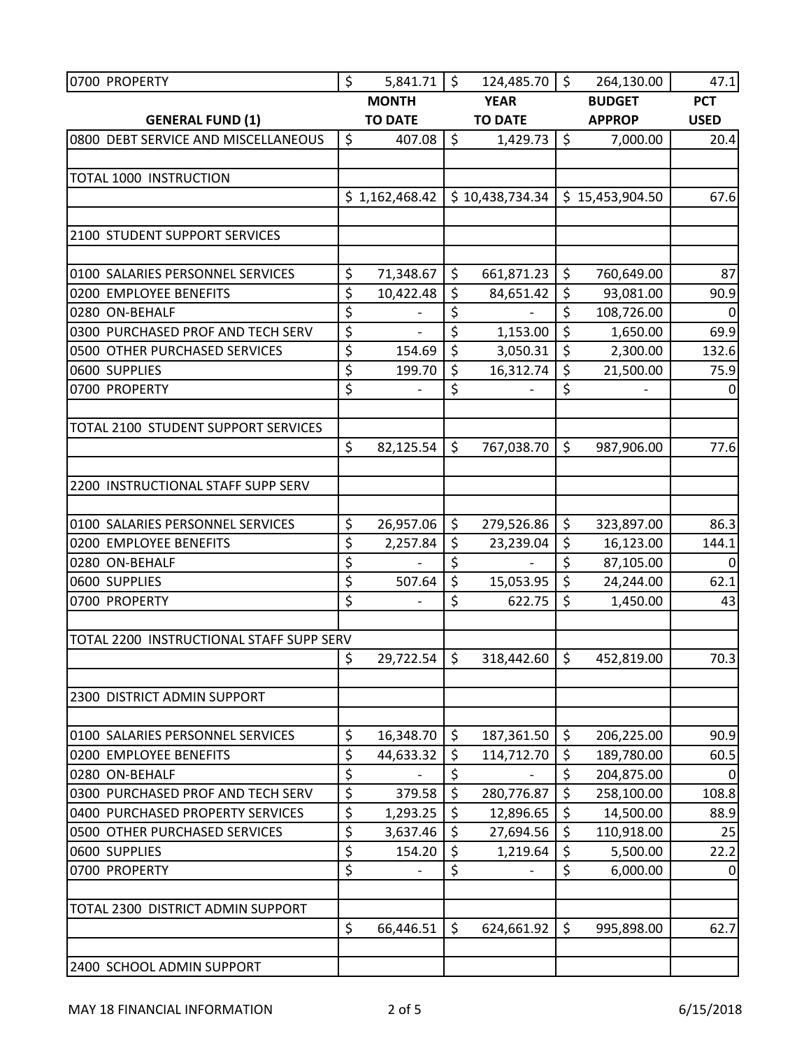| 0700 PROPERTY                            | \$<br>5,841.71                 | \$      | 124,485.70      | $\zeta$ | 264,130.00      | 47.1        |
|------------------------------------------|--------------------------------|---------|-----------------|---------|-----------------|-------------|
|                                          | <b>MONTH</b>                   |         | <b>YEAR</b>     |         | <b>BUDGET</b>   | <b>PCT</b>  |
| <b>GENERAL FUND (1)</b>                  | <b>TO DATE</b>                 |         | <b>TO DATE</b>  |         | <b>APPROP</b>   | <b>USED</b> |
| 0800 DEBT SERVICE AND MISCELLANEOUS      | \$<br>407.08                   | $\zeta$ | 1,429.73        | $\zeta$ | 7,000.00        | 20.4        |
|                                          |                                |         |                 |         |                 |             |
| TOTAL 1000 INSTRUCTION                   |                                |         |                 |         |                 |             |
|                                          | \$1,162,468.42                 |         | \$10,438,734.34 |         | \$15,453,904.50 | 67.6        |
|                                          |                                |         |                 |         |                 |             |
| 2100 STUDENT SUPPORT SERVICES            |                                |         |                 |         |                 |             |
| 0100 SALARIES PERSONNEL SERVICES         | \$<br>71,348.67                | \$      | 661,871.23      | \$      | 760,649.00      | 87          |
| 0200 EMPLOYEE BENEFITS                   | \$<br>10,422.48                | $\zeta$ | 84,651.42       | \$      | 93,081.00       | 90.9        |
| 0280 ON-BEHALF                           | \$<br>$\overline{\phantom{0}}$ | \$      |                 | \$      | 108,726.00      | 0           |
| 0300 PURCHASED PROF AND TECH SERV        | \$                             | \$      | 1,153.00        | \$      | 1,650.00        | 69.9        |
| 0500 OTHER PURCHASED SERVICES            | \$<br>154.69                   | $\zeta$ | 3,050.31        | \$      | 2,300.00        | 132.6       |
| 0600 SUPPLIES                            | \$<br>199.70                   | \$      | 16,312.74       | \$      | 21,500.00       | 75.9        |
| 0700 PROPERTY                            | \$                             | \$      |                 | \$      |                 | 0           |
|                                          |                                |         |                 |         |                 |             |
| TOTAL 2100 STUDENT SUPPORT SERVICES      |                                |         |                 |         |                 |             |
|                                          | \$<br>82,125.54                | \$      | 767,038.70      | \$      | 987,906.00      | 77.6        |
|                                          |                                |         |                 |         |                 |             |
| 2200 INSTRUCTIONAL STAFF SUPP SERV       |                                |         |                 |         |                 |             |
|                                          |                                |         |                 |         |                 |             |
| 0100 SALARIES PERSONNEL SERVICES         | \$<br>26,957.06                | $\zeta$ | 279,526.86      | $\zeta$ | 323,897.00      | 86.3        |
| 0200 EMPLOYEE BENEFITS                   | \$<br>2,257.84                 | \$      | 23,239.04       | \$      | 16,123.00       | 144.1       |
| 0280 ON-BEHALF                           | \$                             | \$      |                 | \$      | 87,105.00       | $\Omega$    |
| 0600 SUPPLIES                            | \$<br>507.64                   | \$      | 15,053.95       | \$      | 24,244.00       | 62.1        |
| 0700 PROPERTY                            | \$                             | \$      | 622.75          | \$      | 1,450.00        | 43          |
|                                          |                                |         |                 |         |                 |             |
| TOTAL 2200 INSTRUCTIONAL STAFF SUPP SERV |                                |         |                 |         |                 |             |
|                                          | \$<br>29,722.54                | $\zeta$ | 318,442.60      | $\zeta$ | 452,819.00      | 70.3        |
| 2300 DISTRICT ADMIN SUPPORT              |                                |         |                 |         |                 |             |
|                                          |                                |         |                 |         |                 |             |
| 0100 SALARIES PERSONNEL SERVICES         | \$<br>16,348.70                | $\zeta$ | 187,361.50      | \$      | 206,225.00      | 90.9        |
| 0200 EMPLOYEE BENEFITS                   | \$<br>44,633.32                | \$      | 114,712.70      | \$      | 189,780.00      | 60.5        |
| 0280 ON-BEHALF                           | \$                             | \$      |                 | \$      | 204,875.00      | 0           |
| 0300 PURCHASED PROF AND TECH SERV        | \$<br>379.58                   | $\zeta$ | 280,776.87      | \$      | 258,100.00      | 108.8       |
| 0400 PURCHASED PROPERTY SERVICES         | \$<br>1,293.25                 | \$      | 12,896.65       | \$      | 14,500.00       | 88.9        |
| 0500 OTHER PURCHASED SERVICES            | \$<br>3,637.46                 | $\zeta$ | 27,694.56       | \$      | 110,918.00      | 25          |
| 0600 SUPPLIES                            | \$<br>154.20                   | \$      | 1,219.64        | \$      | 5,500.00        | 22.2        |
| 0700 PROPERTY                            | \$                             | \$      |                 | \$      | 6,000.00        | 0           |
|                                          |                                |         |                 |         |                 |             |
| TOTAL 2300 DISTRICT ADMIN SUPPORT        |                                |         |                 |         |                 |             |
|                                          | \$<br>66,446.51                | \$      | 624,661.92      | \$      | 995,898.00      | 62.7        |
|                                          |                                |         |                 |         |                 |             |
| 2400 SCHOOL ADMIN SUPPORT                |                                |         |                 |         |                 |             |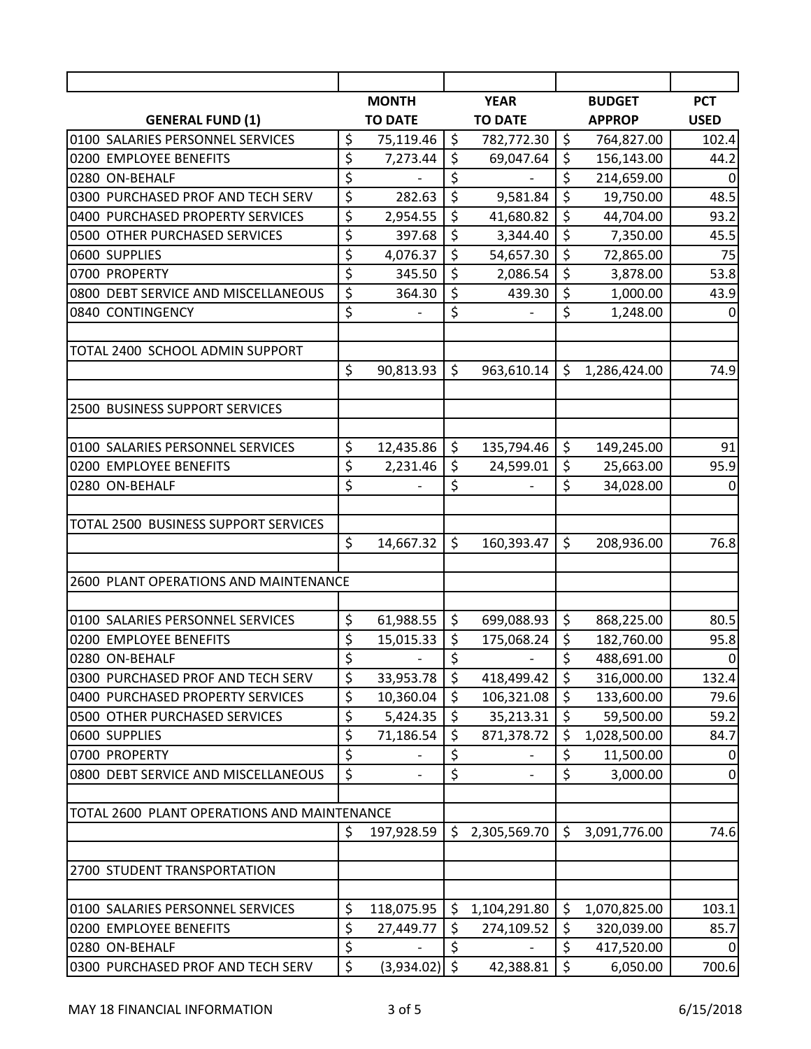|                                             |         | <b>MONTH</b>   |                    | <b>YEAR</b>    |         | <b>BUDGET</b> | <b>PCT</b>       |
|---------------------------------------------|---------|----------------|--------------------|----------------|---------|---------------|------------------|
| <b>GENERAL FUND (1)</b>                     |         | <b>TO DATE</b> |                    | <b>TO DATE</b> |         | <b>APPROP</b> | <b>USED</b>      |
| 0100 SALARIES PERSONNEL SERVICES            | \$      | 75,119.46      | $\zeta$            | 782,772.30     | $\zeta$ | 764,827.00    | 102.4            |
| 0200 EMPLOYEE BENEFITS                      | \$      | 7,273.44       | \$                 | 69,047.64      | \$      | 156,143.00    | 44.2             |
| 0280 ON-BEHALF                              | \$      |                | \$                 |                | \$      | 214,659.00    | $\Omega$         |
| 0300 PURCHASED PROF AND TECH SERV           | \$      | 282.63         | \$                 | 9,581.84       | \$      | 19,750.00     | 48.5             |
| 0400 PURCHASED PROPERTY SERVICES            | \$      | 2,954.55       | \$                 | 41,680.82      | \$      | 44,704.00     | 93.2             |
| 0500 OTHER PURCHASED SERVICES               | \$      | 397.68         | $\zeta$            | 3,344.40       | \$      | 7,350.00      | 45.5             |
| 0600 SUPPLIES                               | \$      | 4,076.37       | \$                 | 54,657.30      | \$      | 72,865.00     | 75               |
| 0700 PROPERTY                               | \$      | 345.50         | \$                 | 2,086.54       | \$      | 3,878.00      | 53.8             |
| 0800 DEBT SERVICE AND MISCELLANEOUS         | \$      | 364.30         | \$                 | 439.30         | \$      | 1,000.00      | 43.9             |
| 0840 CONTINGENCY                            | \$      |                | \$                 |                | \$      | 1,248.00      | $\mathbf 0$      |
| TOTAL 2400 SCHOOL ADMIN SUPPORT             |         |                |                    |                |         |               |                  |
|                                             | \$      | 90,813.93      | \$                 | 963,610.14     | \$      | 1,286,424.00  | 74.9             |
| 2500 BUSINESS SUPPORT SERVICES              |         |                |                    |                |         |               |                  |
|                                             |         |                |                    |                |         |               |                  |
| 0100 SALARIES PERSONNEL SERVICES            | \$      | 12,435.86      | $\zeta$            | 135,794.46     | \$      | 149,245.00    | 91               |
| 0200 EMPLOYEE BENEFITS                      | \$      | 2,231.46       | \$                 | 24,599.01      | \$      | 25,663.00     | 95.9             |
| 0280 ON-BEHALF                              | \$      |                | \$                 |                | \$      | 34,028.00     | $\mathbf 0$      |
|                                             |         |                |                    |                |         |               |                  |
| TOTAL 2500 BUSINESS SUPPORT SERVICES        |         |                |                    |                |         |               |                  |
|                                             | \$      | 14,667.32      | \$                 | 160,393.47     | \$      | 208,936.00    | 76.8             |
|                                             |         |                |                    |                |         |               |                  |
| 2600 PLANT OPERATIONS AND MAINTENANCE       |         |                |                    |                |         |               |                  |
|                                             |         |                |                    |                |         |               |                  |
| 0100 SALARIES PERSONNEL SERVICES            | \$      | 61,988.55      | $\zeta$            | 699,088.93     | $\zeta$ | 868,225.00    | 80.5             |
| 0200 EMPLOYEE BENEFITS                      | \$      | 15,015.33      | \$                 | 175,068.24     | \$      | 182,760.00    | 95.8             |
| 0280 ON-BEHALF                              | \$      |                | \$                 |                | \$      | 488,691.00    | $\boldsymbol{0}$ |
| 0300 PURCHASED PROF AND TECH SERV           | \$      | 33,953.78      | \$                 | 418,499.42     | \$      | 316,000.00    | 132.4            |
| 0400 PURCHASED PROPERTY SERVICES            | \$      | 10,360.04      | \$                 | 106,321.08     | \$      | 133,600.00    | 79.6             |
| 0500 OTHER PURCHASED SERVICES               | \$      | 5,424.35       | \$                 | 35,213.31      | \$      | 59,500.00     | 59.2             |
| 0600 SUPPLIES                               | \$      | 71,186.54      | \$                 | 871,378.72     | \$      | 1,028,500.00  | 84.7             |
| 0700 PROPERTY                               | \$      |                | \$                 |                | \$      | 11,500.00     | 0                |
| 0800 DEBT SERVICE AND MISCELLANEOUS         | \$      |                | \$                 |                | \$      | 3,000.00      | 0                |
| TOTAL 2600 PLANT OPERATIONS AND MAINTENANCE |         |                |                    |                |         |               |                  |
|                                             | \$      | 197,928.59     | \$                 | 2,305,569.70   | \$      | 3,091,776.00  | 74.6             |
|                                             |         |                |                    |                |         |               |                  |
| 2700 STUDENT TRANSPORTATION                 |         |                |                    |                |         |               |                  |
| 0100 SALARIES PERSONNEL SERVICES            | \$      | 118,075.95     | \$                 | 1,104,291.80   | \$      | 1,070,825.00  | 103.1            |
| 0200 EMPLOYEE BENEFITS                      | \$      | 27,449.77      | \$                 | 274,109.52     | \$      | 320,039.00    | 85.7             |
| 0280 ON-BEHALF                              | \$      |                | \$                 |                | \$      | 417,520.00    | 0                |
|                                             | $\zeta$ |                | $\mathsf{\dot{S}}$ |                |         |               |                  |
| 0300 PURCHASED PROF AND TECH SERV           |         | (3,934.02)     |                    | 42,388.81      | \$      | 6,050.00      | 700.6            |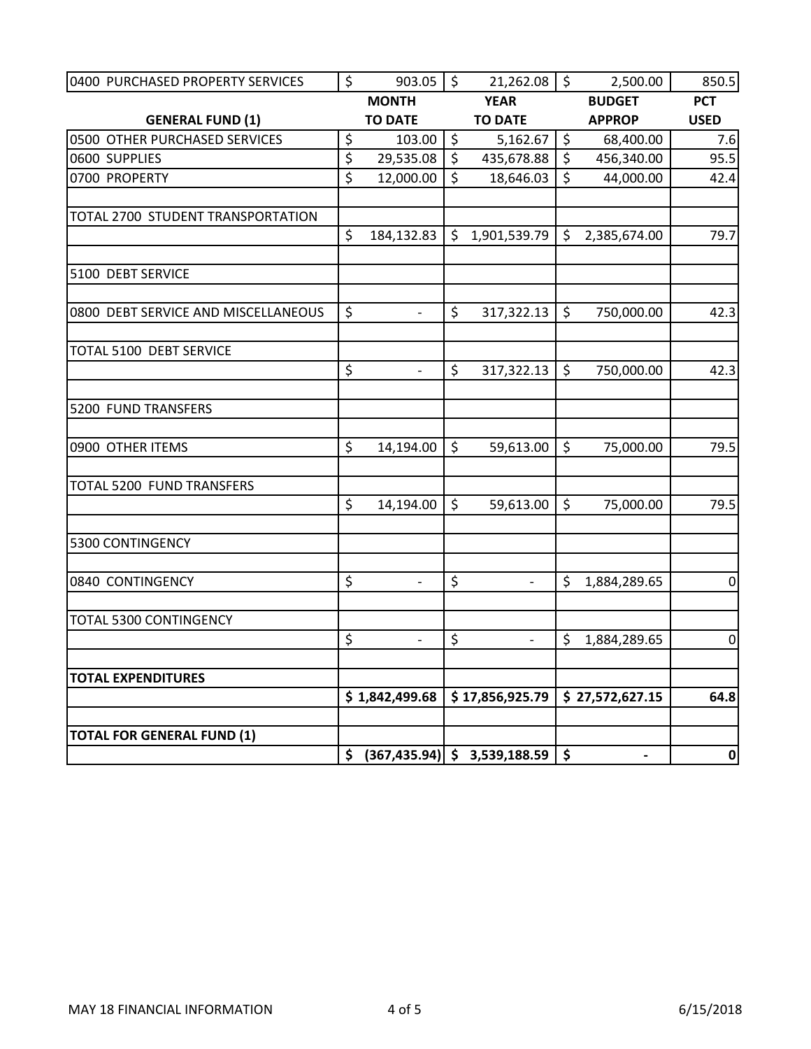| 0400 PURCHASED PROPERTY SERVICES    | \$                 | $903.05$   \$            |                    | $21,262.08$ \$                                        |                    | 2,500.00        | 850.5            |
|-------------------------------------|--------------------|--------------------------|--------------------|-------------------------------------------------------|--------------------|-----------------|------------------|
|                                     |                    | <b>MONTH</b>             |                    | <b>YEAR</b>                                           |                    | <b>BUDGET</b>   | <b>PCT</b>       |
| <b>GENERAL FUND (1)</b>             |                    | <b>TO DATE</b>           |                    | <b>TO DATE</b>                                        |                    | <b>APPROP</b>   | <b>USED</b>      |
| 0500 OTHER PURCHASED SERVICES       | \$                 | 103.00                   | $\zeta$            | 5,162.67                                              | $\zeta$            | 68,400.00       | 7.6              |
| 0600 SUPPLIES                       | \$                 | 29,535.08                | $\zeta$            | 435,678.88                                            | $\zeta$            | 456,340.00      | 95.5             |
| 0700 PROPERTY                       | $\mathsf{\dot{S}}$ | 12,000.00                | $\mathsf{\hat{S}}$ | 18,646.03                                             | $\zeta$            | 44,000.00       | 42.4             |
| TOTAL 2700 STUDENT TRANSPORTATION   |                    |                          |                    |                                                       |                    |                 |                  |
|                                     | \$                 | 184,132.83               | \$                 | 1,901,539.79                                          | \$                 | 2,385,674.00    | 79.7             |
| 5100 DEBT SERVICE                   |                    |                          |                    |                                                       |                    |                 |                  |
| 0800 DEBT SERVICE AND MISCELLANEOUS | $\zeta$            |                          | \$                 | 317,322.13                                            | $\zeta$            | 750,000.00      | 42.3             |
| TOTAL 5100 DEBT SERVICE             |                    |                          |                    |                                                       |                    |                 |                  |
|                                     | \$                 | $\overline{\phantom{a}}$ | \$                 | 317,322.13                                            | \$                 | 750,000.00      | 42.3             |
| 5200 FUND TRANSFERS                 |                    |                          |                    |                                                       |                    |                 |                  |
| 0900 OTHER ITEMS                    | \$                 | 14,194.00                | $\zeta$            | 59,613.00                                             | $\zeta$            | 75,000.00       | 79.5             |
| <b>TOTAL 5200 FUND TRANSFERS</b>    |                    |                          |                    |                                                       |                    |                 |                  |
|                                     | \$                 | 14,194.00                | $\mathsf{\hat{S}}$ | 59,613.00                                             | $\zeta$            | 75,000.00       | 79.5             |
| 5300 CONTINGENCY                    |                    |                          |                    |                                                       |                    |                 |                  |
| 0840 CONTINGENCY                    | \$                 | $\overline{\phantom{0}}$ | \$                 | $\overline{\phantom{a}}$                              | \$                 | 1,884,289.65    | $\boldsymbol{0}$ |
| TOTAL 5300 CONTINGENCY              |                    |                          |                    |                                                       |                    |                 |                  |
|                                     | \$                 | $\overline{\phantom{a}}$ | \$                 | $\omega_{\rm c}$                                      | Ś.                 | 1,884,289.65    | $\overline{0}$   |
| <b>TOTAL EXPENDITURES</b>           |                    |                          |                    |                                                       |                    |                 |                  |
|                                     |                    |                          |                    | $$1,842,499.68 \mid $17,856,925.79$                   |                    | \$27,572,627.15 | 64.8             |
| <b>TOTAL FOR GENERAL FUND (1)</b>   |                    |                          |                    |                                                       |                    |                 |                  |
|                                     |                    |                          |                    | $\frac{1}{2}$ (367,435.94) $\frac{1}{2}$ 3,539,188.59 | $\dot{\mathsf{s}}$ | $\hbox{--}$     | 0                |